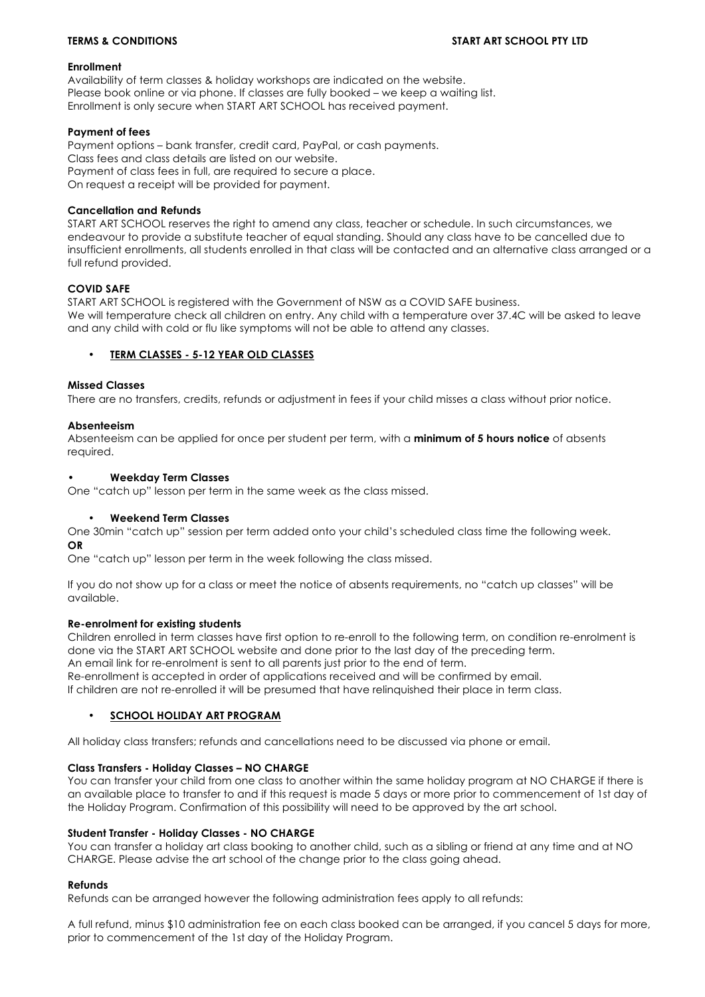### **Enrollment**

Availability of term classes & holiday workshops are indicated on the website. Please book online or via phone. If classes are fully booked – we keep a waiting list. Enrollment is only secure when START ART SCHOOL has received payment.

### **Payment of fees**

Payment options – bank transfer, credit card, PayPal, or cash payments. Class fees and class details are listed on our website. Payment of class fees in full, are required to secure a place. On request a receipt will be provided for payment.

## **Cancellation and Refunds**

START ART SCHOOL reserves the right to amend any class, teacher or schedule. In such circumstances, we endeavour to provide a substitute teacher of equal standing. Should any class have to be cancelled due to insufficient enrollments, all students enrolled in that class will be contacted and an alternative class arranged or a full refund provided.

# **COVID SAFE**

START ART SCHOOL is registered with the Government of NSW as a COVID SAFE business. We will temperature check all children on entry. Any child with a temperature over 37.4C will be asked to leave and any child with cold or flu like symptoms will not be able to attend any classes.

# • **TERM CLASSES - 5-12 YEAR OLD CLASSES**

# **Missed Classes**

There are no transfers, credits, refunds or adjustment in fees if your child misses a class without prior notice.

# **Absenteeism**

Absenteeism can be applied for once per student per term, with a **minimum of 5 hours notice** of absents required.

### **• Weekday Term Classes**

One "catch up" lesson per term in the same week as the class missed.

### • **Weekend Term Classes**

One 30min "catch up" session per term added onto your child's scheduled class time the following week. **OR**

One "catch up" lesson per term in the week following the class missed.

If you do not show up for a class or meet the notice of absents requirements, no "catch up classes" will be available.

### **Re-enrolment for existing students**

Children enrolled in term classes have first option to re-enroll to the following term, on condition re-enrolment is done via the START ART SCHOOL website and done prior to the last day of the preceding term. An email link for re-enrolment is sent to all parents just prior to the end of term.

Re-enrollment is accepted in order of applications received and will be confirmed by email.

If children are not re-enrolled it will be presumed that have relinquished their place in term class.

### **SCHOOL HOLIDAY ART PROGRAM**

All holiday class transfers; refunds and cancellations need to be discussed via phone or email.

### **Class Transfers - Holiday Classes – NO CHARGE**

You can transfer your child from one class to another within the same holiday program at NO CHARGE if there is an available place to transfer to and if this request is made 5 days or more prior to commencement of 1st day of the Holiday Program. Confirmation of this possibility will need to be approved by the art school.

### **Student Transfer - Holiday Classes - NO CHARGE**

You can transfer a holiday art class booking to another child, such as a sibling or friend at any time and at NO CHARGE. Please advise the art school of the change prior to the class going ahead.

### **Refunds**

Refunds can be arranged however the following administration fees apply to all refunds:

A full refund, minus \$10 administration fee on each class booked can be arranged, if you cancel 5 days for more, prior to commencement of the 1st day of the Holiday Program.